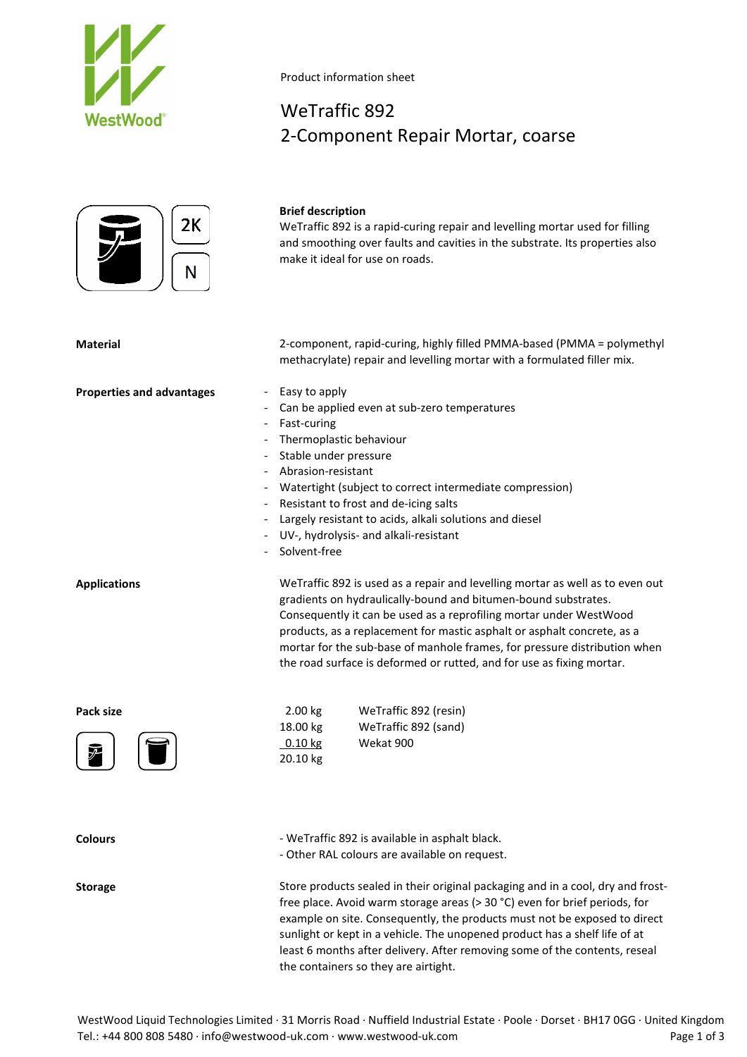



### **Brief description**

Product information sheet

WeTraffic 892

WeTraffic 892 is a rapid-curing repair and levelling mortar used for filling and smoothing over faults and cavities in the substrate. Its properties also make it ideal for use on roads.

**Material** 2-component, rapid-curing, highly filled PMMA-based (PMMA = polymethyl methacrylate) repair and levelling mortar with a formulated filler mix.

2-Component Repair Mortar, coarse

- **Properties and advantages** Easy to apply
	- Can be applied even at sub-zero temperatures
	- Fast-curing
	- Thermoplastic behaviour
	- Stable under pressure
	- Abrasion-resistant
	- Watertight (subject to correct intermediate compression)
	- Resistant to frost and de-icing salts
	- Largely resistant to acids, alkali solutions and diesel
	- UV-, hydrolysis- and alkali-resistant
	- Solvent-free

**Applications** WeTraffic 892 is used as a repair and levelling mortar as well as to even out gradients on hydraulically-bound and bitumen-bound substrates. Consequently it can be used as a reprofiling mortar under WestWood products, as a replacement for mastic asphalt or asphalt concrete, as a mortar for the sub-base of manhole frames, for pressure distribution when the road surface is deformed or rutted, and for use as fixing mortar.

| Pack size                                | 2.00 kg           | WeTraffic 892 (resin) |
|------------------------------------------|-------------------|-----------------------|
|                                          | 18.00 kg          | WeTraffic 892 (sand)  |
| $ \blacksquare $<br>$\boxed{\mathbf{z}}$ | $0.10 \text{ kg}$ | Wekat 900             |
|                                          | 20.10 kg          |                       |

**Colours** - WeTraffic 892 is available in asphalt black.

- Other RAL colours are available on request.

**Storage** Store products sealed in their original packaging and in a cool, dry and frostfree place. Avoid warm storage areas (> 30 °C) even for brief periods, for example on site. Consequently, the products must not be exposed to direct sunlight or kept in a vehicle. The unopened product has a shelf life of at least 6 months after delivery. After removing some of the contents, reseal the containers so they are airtight.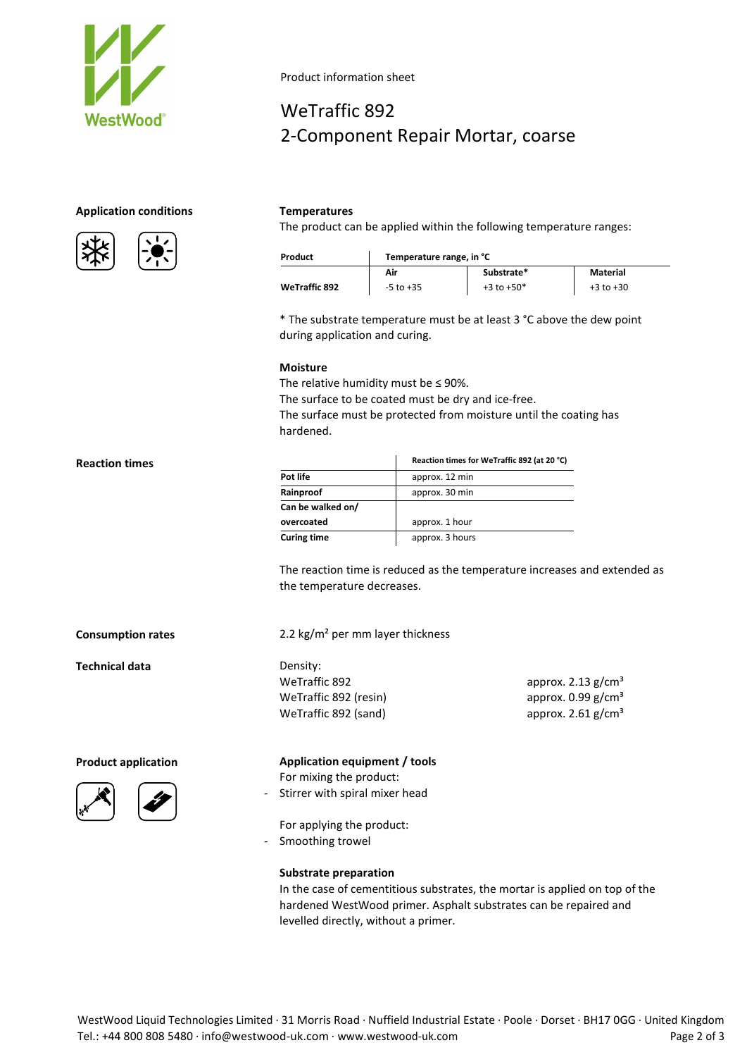

# **Application conditions Temperatures**





## Product information sheet

# WeTraffic 892 2-Component Repair Mortar, coarse

The product can be applied within the following temperature ranges:

| Product              | Temperature range, in °C |                |               |
|----------------------|--------------------------|----------------|---------------|
|                      | Air                      | Substrate*     | Material      |
| <b>WeTraffic 892</b> | $-5$ to $+35$            | $+3$ to $+50*$ | $+3$ to $+30$ |

\* The substrate temperature must be at least 3 °C above the dew point during application and curing.

### **Moisture**

The relative humidity must be  $\leq$  90%.

The surface to be coated must be dry and ice-free.

The surface must be protected from moisture until the coating has hardened.

|                    | Reaction times for WeTraffic 892 (at 20 °C) |
|--------------------|---------------------------------------------|
| Pot life           | approx. 12 min                              |
| Rainproof          | approx. 30 min                              |
| Can be walked on/  |                                             |
| overcoated         | approx. 1 hour                              |
| <b>Curing time</b> | approx. 3 hours                             |

The reaction time is reduced as the temperature increases and extended as the temperature decreases.

> approx.  $2.13$  g/cm<sup>3</sup> approx.  $0.99$  g/cm<sup>3</sup> approx.  $2.61$  g/cm<sup>3</sup>

**Consumption rates** 2.2 kg/m² per mm layer thickness

**Technical data** Density:

**Reaction times** 



## **Product application Application equipment / tools**

For mixing the product: - Stirrer with spiral mixer head

For applying the product:

- Smoothing trowel

WeTraffic 892 WeTraffic 892 (resin) WeTraffic 892 (sand)

### **Substrate preparation**

In the case of cementitious substrates, the mortar is applied on top of the hardened WestWood primer. Asphalt substrates can be repaired and levelled directly, without a primer.